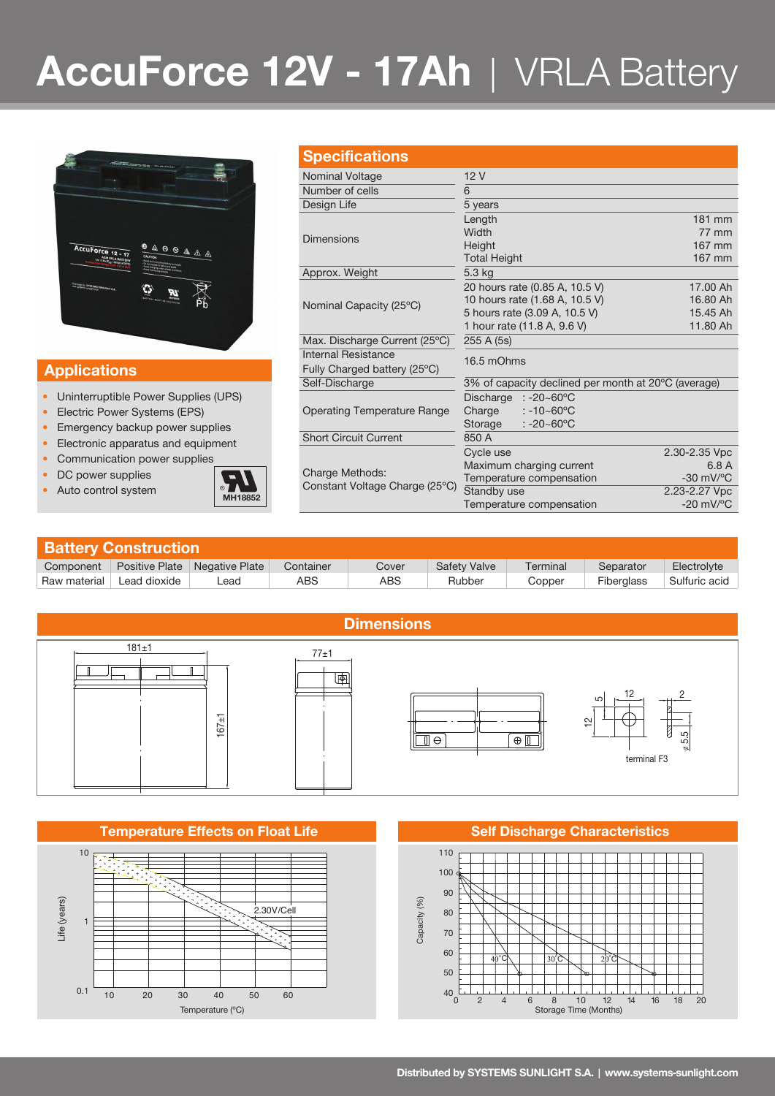# **AccuForce 12V - 17Ah** | VRLA Battery



## **Applications**

- Uninterruptible Power Supplies (UPS)
- Electric Power Systems (EPS)
- Emergency backup power supplies
- Electronic apparatus and equipment
- Communication power supplies
- DC power supplies
- 



|  | <b>Specifications</b>              |                                                      |                    |  |  |  |
|--|------------------------------------|------------------------------------------------------|--------------------|--|--|--|
|  | Nominal Voltage                    | 12V                                                  |                    |  |  |  |
|  | Number of cells                    | 6                                                    |                    |  |  |  |
|  | Design Life                        | 5 years                                              |                    |  |  |  |
|  |                                    | Length                                               | 181 mm             |  |  |  |
|  | <b>Dimensions</b>                  | Width                                                | 77 mm              |  |  |  |
|  |                                    | Height                                               | 167 mm             |  |  |  |
|  |                                    | <b>Total Height</b>                                  | 167 mm             |  |  |  |
|  | Approx. Weight                     | 5.3 kg                                               |                    |  |  |  |
|  |                                    | 20 hours rate (0.85 A, 10.5 V)                       | 17.00 Ah           |  |  |  |
|  | Nominal Capacity (25°C)            | 10 hours rate (1.68 A, 10.5 V)                       | 16.80 Ah           |  |  |  |
|  |                                    | 5 hours rate (3.09 A, 10.5 V)                        | 15.45 Ah           |  |  |  |
|  |                                    | 1 hour rate (11.8 A, 9.6 V)                          | 11.80 Ah           |  |  |  |
|  | Max. Discharge Current (25°C)      | 255 A (5s)                                           |                    |  |  |  |
|  | <b>Internal Resistance</b>         | 16.5 mOhms                                           |                    |  |  |  |
|  | Fully Charged battery (25°C)       |                                                      |                    |  |  |  |
|  | Self-Discharge                     | 3% of capacity declined per month at 20 °C (average) |                    |  |  |  |
|  | <b>Operating Temperature Range</b> | Discharge $: -20 - 60^{\circ}$ C                     |                    |  |  |  |
|  |                                    | Charge<br>$: -10 - 60^{\circ}$ C                     |                    |  |  |  |
|  |                                    | : -20~60 $^{\circ}$ C<br>Storage                     |                    |  |  |  |
|  | <b>Short Circuit Current</b>       | 850 A                                                |                    |  |  |  |
|  |                                    | Cycle use                                            | 2.30-2.35 Vpc      |  |  |  |
|  |                                    | Maximum charging current                             | 6.8 A              |  |  |  |
|  | <b>Charge Methods:</b>             | Tamparatura companeation                             | $30 \frac{m}{100}$ |  |  |  |

Constant Voltage Charge (25ºC) Temperature compensation -30 mV/ºC

Temperature compensation

2.23-2.27 Vpc<br>-20 mV/°C

**Battery Construction** Component Positive Plate Negative Plate Container Cover Safety Valve Terminal Separator Electrolyte Raw material Lead dioxide | Lead | ABS | ABS Rubber | Copper | Fiberglass Sulfuric acid



### **Temperature Effects on Float Life <b>Self Discharge Characteristics Self Discharge Characteristics**